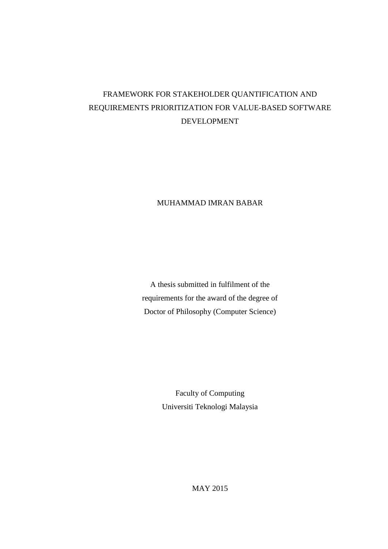# FRAMEWORK FOR STAKEHOLDER QUANTIFICATION AND REQUIREMENTS PRIORITIZATION FOR VALUE-BASED SOFTWARE DEVELOPMENT

#### MUHAMMAD IMRAN BABAR

A thesis submitted in fulfilment of the requirements for the award of the degree of Doctor of Philosophy (Computer Science)

> Faculty of Computing Universiti Teknologi Malaysia

> > MAY 2015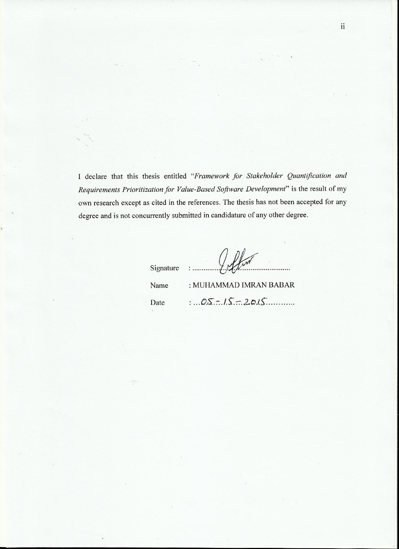I declare that this thesis entitled "Framework for Stakeholder Quantification and Requirements Prioritization for Value-Based Software Development" is the result of my own research except as cited in the references. The thesis has not been accepted for any degree and is not concurrently submitted in candidature of any other degree.

| Signature : | tyffin                 |
|-------------|------------------------|
| Name        | : MUHAMMAD IMRAN BABAR |
| Date        | $0.5 - 15 - 20.15$     |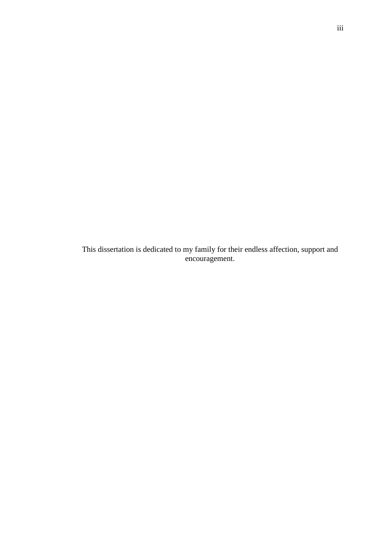This dissertation is dedicated to my family for their endless affection, support and encouragement.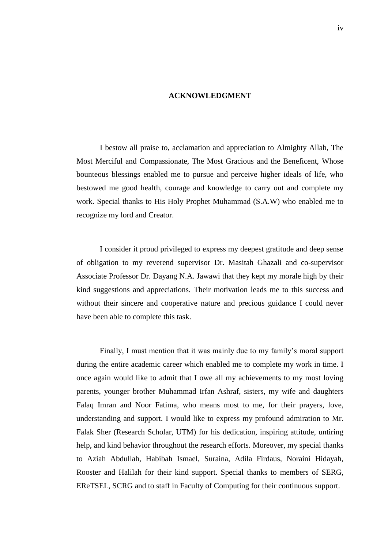#### **ACKNOWLEDGMENT**

I bestow all praise to, acclamation and appreciation to Almighty Allah, The Most Merciful and Compassionate, The Most Gracious and the Beneficent, Whose bounteous blessings enabled me to pursue and perceive higher ideals of life, who bestowed me good health, courage and knowledge to carry out and complete my work. Special thanks to His Holy Prophet Muhammad (S.A.W) who enabled me to recognize my lord and Creator.

I consider it proud privileged to express my deepest gratitude and deep sense of obligation to my reverend supervisor Dr. Masitah Ghazali and co-supervisor Associate Professor Dr. Dayang N.A. Jawawi that they kept my morale high by their kind suggestions and appreciations. Their motivation leads me to this success and without their sincere and cooperative nature and precious guidance I could never have been able to complete this task.

Finally, I must mention that it was mainly due to my family's moral support during the entire academic career which enabled me to complete my work in time. I once again would like to admit that I owe all my achievements to my most loving parents, younger brother Muhammad Irfan Ashraf, sisters, my wife and daughters Falaq Imran and Noor Fatima, who means most to me, for their prayers, love, understanding and support. I would like to express my profound admiration to Mr. Falak Sher (Research Scholar, UTM) for his dedication, inspiring attitude, untiring help, and kind behavior throughout the research efforts. Moreover, my special thanks to Aziah Abdullah, Habibah Ismael, Suraina, Adila Firdaus, Noraini Hidayah, Rooster and Halilah for their kind support. Special thanks to members of SERG, EReTSEL, SCRG and to staff in Faculty of Computing for their continuous support.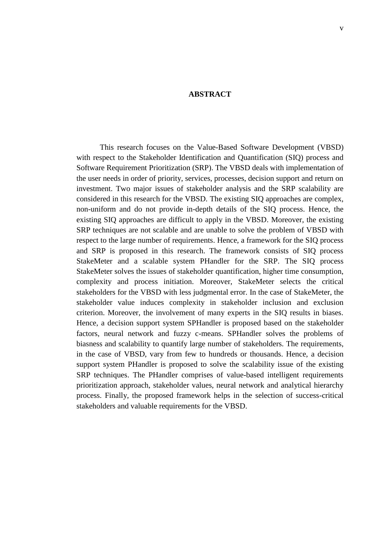#### **ABSTRACT**

This research focuses on the Value-Based Software Development (VBSD) with respect to the Stakeholder Identification and Quantification (SIQ) process and Software Requirement Prioritization (SRP). The VBSD deals with implementation of the user needs in order of priority, services, processes, decision support and return on investment. Two major issues of stakeholder analysis and the SRP scalability are considered in this research for the VBSD. The existing SIQ approaches are complex, non-uniform and do not provide in-depth details of the SIQ process. Hence, the existing SIQ approaches are difficult to apply in the VBSD. Moreover, the existing SRP techniques are not scalable and are unable to solve the problem of VBSD with respect to the large number of requirements. Hence, a framework for the SIQ process and SRP is proposed in this research. The framework consists of SIQ process StakeMeter and a scalable system PHandler for the SRP. The SIQ process StakeMeter solves the issues of stakeholder quantification, higher time consumption, complexity and process initiation. Moreover, StakeMeter selects the critical stakeholders for the VBSD with less judgmental error. In the case of StakeMeter, the stakeholder value induces complexity in stakeholder inclusion and exclusion criterion. Moreover, the involvement of many experts in the SIQ results in biases. Hence, a decision support system SPHandler is proposed based on the stakeholder factors, neural network and fuzzy c-means. SPHandler solves the problems of biasness and scalability to quantify large number of stakeholders. The requirements, in the case of VBSD, vary from few to hundreds or thousands. Hence, a decision support system PHandler is proposed to solve the scalability issue of the existing SRP techniques. The PHandler comprises of value-based intelligent requirements prioritization approach, stakeholder values, neural network and analytical hierarchy process. Finally, the proposed framework helps in the selection of success-critical stakeholders and valuable requirements for the VBSD.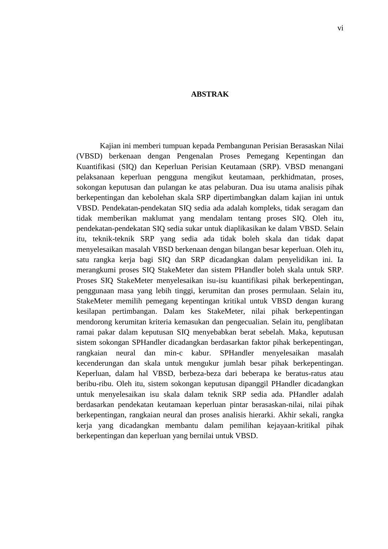#### **ABSTRAK**

Kajian ini memberi tumpuan kepada Pembangunan Perisian Berasaskan Nilai (VBSD) berkenaan dengan Pengenalan Proses Pemegang Kepentingan dan Kuantifikasi (SIQ) dan Keperluan Perisian Keutamaan (SRP). VBSD menangani pelaksanaan keperluan pengguna mengikut keutamaan, perkhidmatan, proses, sokongan keputusan dan pulangan ke atas pelaburan. Dua isu utama analisis pihak berkepentingan dan kebolehan skala SRP dipertimbangkan dalam kajian ini untuk VBSD. Pendekatan-pendekatan SIQ sedia ada adalah kompleks, tidak seragam dan tidak memberikan maklumat yang mendalam tentang proses SIQ. Oleh itu, pendekatan-pendekatan SIQ sedia sukar untuk diaplikasikan ke dalam VBSD. Selain itu, teknik-teknik SRP yang sedia ada tidak boleh skala dan tidak dapat menyelesaikan masalah VBSD berkenaan dengan bilangan besar keperluan. Oleh itu, satu rangka kerja bagi SIQ dan SRP dicadangkan dalam penyelidikan ini. Ia merangkumi proses SIQ StakeMeter dan sistem PHandler boleh skala untuk SRP. Proses SIQ StakeMeter menyelesaikan isu-isu kuantifikasi pihak berkepentingan, penggunaan masa yang lebih tinggi, kerumitan dan proses permulaan. Selain itu, StakeMeter memilih pemegang kepentingan kritikal untuk VBSD dengan kurang kesilapan pertimbangan. Dalam kes StakeMeter, nilai pihak berkepentingan mendorong kerumitan kriteria kemasukan dan pengecualian. Selain itu, penglibatan ramai pakar dalam keputusan SIQ menyebabkan berat sebelah. Maka, keputusan sistem sokongan SPHandler dicadangkan berdasarkan faktor pihak berkepentingan, rangkaian neural dan min-c kabur. SPHandler menyelesaikan masalah kecenderungan dan skala untuk mengukur jumlah besar pihak berkepentingan. Keperluan, dalam hal VBSD, berbeza-beza dari beberapa ke beratus-ratus atau beribu-ribu. Oleh itu, sistem sokongan keputusan dipanggil PHandler dicadangkan untuk menyelesaikan isu skala dalam teknik SRP sedia ada. PHandler adalah berdasarkan pendekatan keutamaan keperluan pintar berasaskan-nilai, nilai pihak berkepentingan, rangkaian neural dan proses analisis hierarki. Akhir sekali, rangka kerja yang dicadangkan membantu dalam pemilihan kejayaan-kritikal pihak berkepentingan dan keperluan yang bernilai untuk VBSD.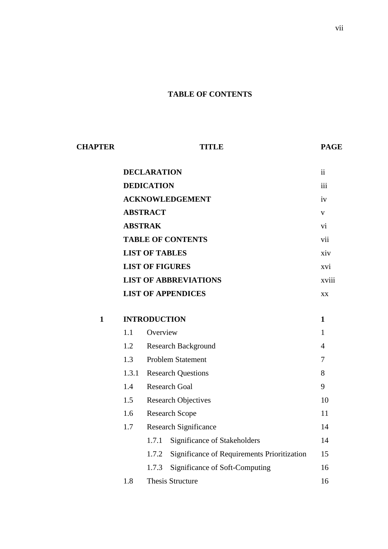### **TABLE OF CONTENTS**

| <b>CHAPTER</b> | <b>TITLE</b>             |                              |                                             | <b>PAGE</b>    |
|----------------|--------------------------|------------------------------|---------------------------------------------|----------------|
|                | <b>DECLARATION</b>       |                              |                                             |                |
|                |                          | <b>DEDICATION</b>            |                                             | iii            |
|                |                          | <b>ACKNOWLEDGEMENT</b>       |                                             | iv             |
|                |                          | <b>ABSTRACT</b>              |                                             | $\mathbf V$    |
|                | <b>ABSTRAK</b>           |                              |                                             |                |
|                | <b>TABLE OF CONTENTS</b> |                              |                                             | vii            |
|                |                          | <b>LIST OF TABLES</b>        |                                             | xiv            |
|                |                          | <b>LIST OF FIGURES</b>       |                                             | xvi            |
|                |                          | <b>LIST OF ABBREVIATIONS</b> |                                             | xviii          |
|                |                          | <b>LIST OF APPENDICES</b>    |                                             | XX             |
| $\mathbf{1}$   |                          | <b>INTRODUCTION</b>          |                                             | $\mathbf{1}$   |
|                | 1.1                      | Overview                     |                                             | $\mathbf{1}$   |
|                | 1.2                      | <b>Research Background</b>   |                                             | $\overline{4}$ |
|                | 1.3                      | <b>Problem Statement</b>     |                                             | 7              |
|                | 1.3.1                    | <b>Research Questions</b>    |                                             | 8              |
|                | 1.4                      | <b>Research Goal</b>         |                                             | 9              |
|                | 1.5                      | <b>Research Objectives</b>   |                                             | 10             |
|                | 1.6                      | <b>Research Scope</b>        |                                             | 11             |
|                | 1.7                      | <b>Research Significance</b> |                                             | 14             |
|                |                          | 1.7.1                        | Significance of Stakeholders                | 14             |
|                |                          | 1.7.2                        | Significance of Requirements Prioritization | 15             |
|                |                          | 1.7.3                        | Significance of Soft-Computing              | 16             |
|                | 1.8                      | Thesis Structure             |                                             | 16             |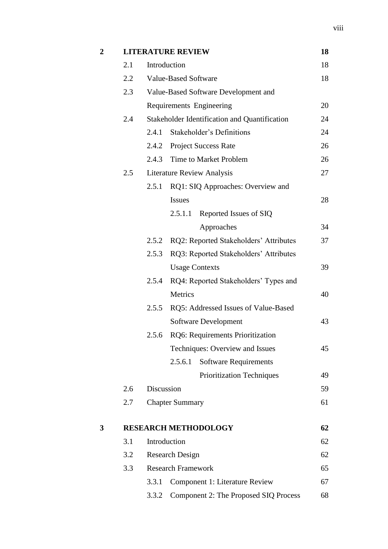| $\boldsymbol{2}$ |     |            | <b>LITERATURE REVIEW</b>                      | 18       |
|------------------|-----|------------|-----------------------------------------------|----------|
|                  | 2.1 |            | Introduction                                  | 18       |
|                  | 2.2 |            | <b>Value-Based Software</b>                   | 18       |
|                  | 2.3 |            | Value-Based Software Development and          |          |
|                  |     |            | Requirements Engineering                      | 20       |
|                  | 2.4 |            | Stakeholder Identification and Quantification | 24       |
|                  |     | 2.4.1      | Stakeholder's Definitions                     | 24       |
|                  |     |            | 2.4.2 Project Success Rate                    | 26       |
|                  |     | 2.4.3      | Time to Market Problem                        | 26       |
|                  | 2.5 |            | <b>Literature Review Analysis</b>             | 27       |
|                  |     | 2.5.1      | RQ1: SIQ Approaches: Overview and             |          |
|                  |     |            | <b>Issues</b>                                 | 28       |
|                  |     |            | Reported Issues of SIQ<br>2.5.1.1             |          |
|                  |     |            | Approaches                                    | 34       |
|                  |     | 2.5.2      | RQ2: Reported Stakeholders' Attributes        | 37       |
|                  |     | 2.5.3      | RQ3: Reported Stakeholders' Attributes        |          |
|                  |     |            | <b>Usage Contexts</b>                         | 39       |
|                  |     | 2.5.4      | RQ4: Reported Stakeholders' Types and         |          |
|                  |     |            | Metrics                                       | 40       |
|                  |     | 2.5.5      | RQ5: Addressed Issues of Value-Based          |          |
|                  |     |            | Software Development                          | 43       |
|                  |     | 2.5.6      | RQ6: Requirements Prioritization              |          |
|                  |     |            | Techniques: Overview and Issues               | 45       |
|                  |     |            | 2.5.6.1<br><b>Software Requirements</b>       |          |
|                  |     |            | <b>Prioritization Techniques</b>              | 49       |
|                  | 2.6 | Discussion |                                               | 59       |
|                  | 2.7 |            | <b>Chapter Summary</b>                        | 61       |
|                  |     |            |                                               |          |
| 3                | 3.1 |            | <b>RESEARCH METHODOLOGY</b><br>Introduction   | 62<br>62 |
|                  |     |            |                                               |          |
|                  | 3.2 |            | <b>Research Design</b>                        | 62       |
|                  | 3.3 |            | <b>Research Framework</b>                     | 65       |
|                  |     | 3.3.1      | Component 1: Literature Review                | 67       |
|                  |     | 3.3.2      | Component 2: The Proposed SIQ Process         | 68       |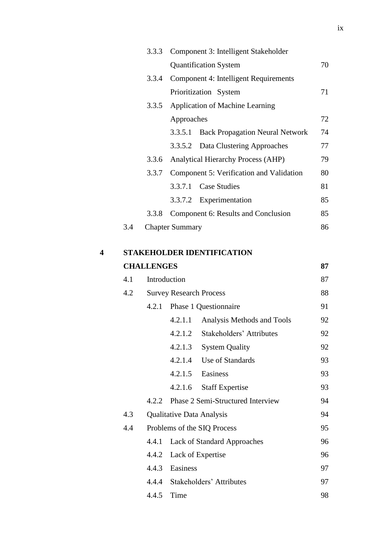|     |       | 3.3.3 Component 3: Intelligent Stakeholder |    |
|-----|-------|--------------------------------------------|----|
|     |       | <b>Quantification System</b>               | 70 |
|     | 3.3.4 | Component 4: Intelligent Requirements      |    |
|     |       | Prioritization System                      | 71 |
|     | 3.3.5 | <b>Application of Machine Learning</b>     |    |
|     |       | Approaches                                 | 72 |
|     |       | 3.3.5.1 Back Propagation Neural Network    | 74 |
|     |       | 3.3.5.2 Data Clustering Approaches         | 77 |
|     | 3.3.6 | <b>Analytical Hierarchy Process (AHP)</b>  | 79 |
|     | 3.3.7 | Component 5: Verification and Validation   | 80 |
|     |       | 3.3.7.1 Case Studies                       | 81 |
|     |       | 3.3.7.2 Experimentation                    | 85 |
|     | 3.3.8 | Component 6: Results and Conclusion        | 85 |
| 3.4 |       | <b>Chapter Summary</b>                     | 86 |
|     |       |                                            |    |

| <b>STAKEHOLDER IDENTIFICATION</b> |
|-----------------------------------|
|                                   |

|     | <b>CHALLENGES</b> |                                |                                    | 87 |
|-----|-------------------|--------------------------------|------------------------------------|----|
| 4.1 | Introduction      |                                |                                    | 87 |
| 4.2 |                   | <b>Survey Research Process</b> |                                    | 88 |
|     | 4.2.1             |                                | Phase 1 Questionnaire              | 91 |
|     |                   | 4.2.1.1                        | Analysis Methods and Tools         | 92 |
|     |                   | 4.2.1.2                        | <b>Stakeholders' Attributes</b>    | 92 |
|     |                   | 4.2.1.3                        | <b>System Quality</b>              | 92 |
|     |                   | 4.2.1.4                        | Use of Standards                   | 93 |
|     |                   | 4.2.1.5                        | Easiness                           | 93 |
|     |                   | 4.2.1.6                        | <b>Staff Expertise</b>             | 93 |
|     | 4.2.2             |                                | Phase 2 Semi-Structured Interview  | 94 |
| 4.3 |                   |                                | Qualitative Data Analysis          | 94 |
| 4.4 |                   |                                | Problems of the SIQ Process        | 95 |
|     | 4.4.1             |                                | <b>Lack of Standard Approaches</b> | 96 |
|     | 4.4.2             | Lack of Expertise              |                                    | 96 |
|     | 4.4.3             | Easiness                       |                                    | 97 |
|     |                   |                                | 4.4.4 Stakeholders' Attributes     | 97 |
|     | 4.4.5             | Time                           |                                    | 98 |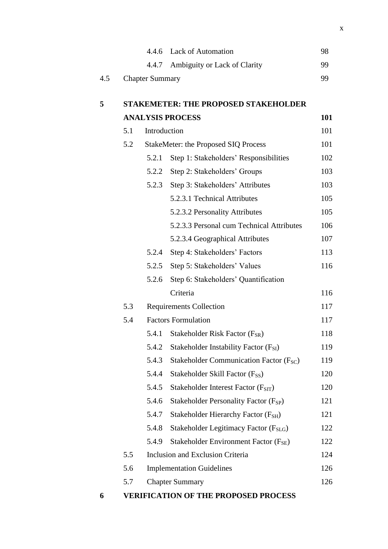|     |     |                        | 4.4.6 Lack of Automation                            | 98  |
|-----|-----|------------------------|-----------------------------------------------------|-----|
|     |     |                        | 4.4.7 Ambiguity or Lack of Clarity                  | 99  |
| 4.5 |     | <b>Chapter Summary</b> |                                                     | 99  |
|     |     |                        |                                                     |     |
| 5   |     |                        | <b>STAKEMETER: THE PROPOSED STAKEHOLDER</b>         |     |
|     |     |                        | <b>ANALYSIS PROCESS</b>                             | 101 |
|     | 5.1 | Introduction           |                                                     | 101 |
|     | 5.2 |                        | <b>StakeMeter: the Proposed SIQ Process</b>         | 101 |
|     |     | 5.2.1                  | Step 1: Stakeholders' Responsibilities              | 102 |
|     |     | 5.2.2                  | Step 2: Stakeholders' Groups                        | 103 |
|     |     | 5.2.3                  | Step 3: Stakeholders' Attributes                    | 103 |
|     |     |                        | 5.2.3.1 Technical Attributes                        | 105 |
|     |     |                        | 5.2.3.2 Personality Attributes                      | 105 |
|     |     |                        | 5.2.3.3 Personal cum Technical Attributes           | 106 |
|     |     |                        | 5.2.3.4 Geographical Attributes                     | 107 |
|     |     | 5.2.4                  | Step 4: Stakeholders' Factors                       | 113 |
|     |     | 5.2.5                  | Step 5: Stakeholders' Values                        | 116 |
|     |     | 5.2.6                  | Step 6: Stakeholders' Quantification                |     |
|     |     |                        | Criteria                                            | 116 |
|     | 5.3 |                        | <b>Requirements Collection</b>                      | 117 |
|     | 5.4 |                        | <b>Factors Formulation</b>                          | 117 |
|     |     |                        | 5.4.1 Stakeholder Risk Factor $(F_{SR})$            | 118 |
|     |     | 5.4.2                  | Stakeholder Instability Factor (F <sub>SI</sub> )   | 119 |
|     |     | 5.4.3                  | Stakeholder Communication Factor (F <sub>SC</sub> ) | 119 |
|     |     | 5.4.4                  | Stakeholder Skill Factor (F <sub>SS</sub> )         | 120 |
|     |     | 5.4.5                  | Stakeholder Interest Factor $(F_{STT})$             | 120 |
|     |     | 5.4.6                  | Stakeholder Personality Factor $(F_{SP})$           | 121 |
|     |     | 5.4.7                  | Stakeholder Hierarchy Factor (F <sub>SH</sub> )     | 121 |
|     |     | 5.4.8                  | Stakeholder Legitimacy Factor (F <sub>SLG</sub> )   | 122 |
|     |     | 5.4.9                  | Stakeholder Environment Factor (F <sub>SE</sub> )   | 122 |
|     | 5.5 |                        | <b>Inclusion and Exclusion Criteria</b>             | 124 |
|     | 5.6 |                        | <b>Implementation Guidelines</b>                    | 126 |
|     | 5.7 |                        | <b>Chapter Summary</b>                              | 126 |
|     |     |                        |                                                     |     |

**6 VERIFICATION OF THE PROPOSED PROCESS**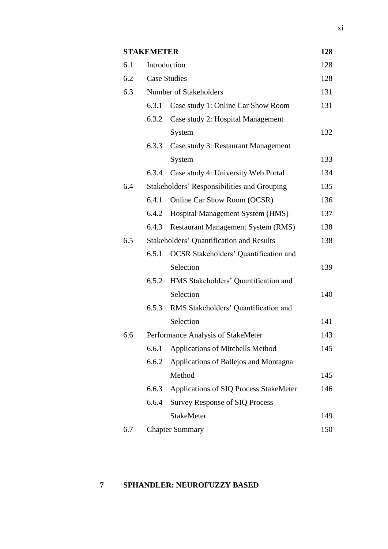# **STAKEMETER 128**

| 6.1 |       | Introduction                                    | 128 |
|-----|-------|-------------------------------------------------|-----|
| 6.2 |       | <b>Case Studies</b>                             | 128 |
| 6.3 |       | Number of Stakeholders                          | 131 |
|     | 6.3.1 | Case study 1: Online Car Show Room              | 131 |
|     | 6.3.2 | Case study 2: Hospital Management               |     |
|     |       | System                                          | 132 |
|     | 6.3.3 | Case study 3: Restaurant Management             |     |
|     |       | System                                          | 133 |
|     | 6.3.4 | Case study 4: University Web Portal             | 134 |
| 6.4 |       | Stakeholders' Responsibilities and Grouping     | 135 |
|     | 6.4.1 | Online Car Show Room (OCSR)                     | 136 |
|     | 6.4.2 | Hospital Management System (HMS)                | 137 |
|     | 6.4.3 | <b>Restaurant Management System (RMS)</b>       | 138 |
| 6.5 |       | <b>Stakeholders' Quantification and Results</b> | 138 |
|     | 6.5.1 | <b>OCSR</b> Stakeholders' Quantification and    |     |
|     |       | Selection                                       | 139 |
|     | 6.5.2 | HMS Stakeholders' Quantification and            |     |
|     |       | Selection                                       | 140 |
|     | 6.5.3 | RMS Stakeholders' Quantification and            |     |
|     |       | Selection                                       | 141 |
| 6.6 |       | Performance Analysis of StakeMeter              | 143 |
|     |       | 6.6.1 Applications of Mitchells Method          | 145 |
|     | 6.6.2 | Applications of Ballejos and Montagna           |     |
|     |       | Method                                          | 145 |
|     | 6.6.3 | Applications of SIQ Process StakeMeter          | 146 |
|     | 6.6.4 | <b>Survey Response of SIQ Process</b>           |     |
|     |       | <b>StakeMeter</b>                               | 149 |
| 6.7 |       | <b>Chapter Summary</b>                          | 150 |

# **7 SPHANDLER: NEUROFUZZY BASED**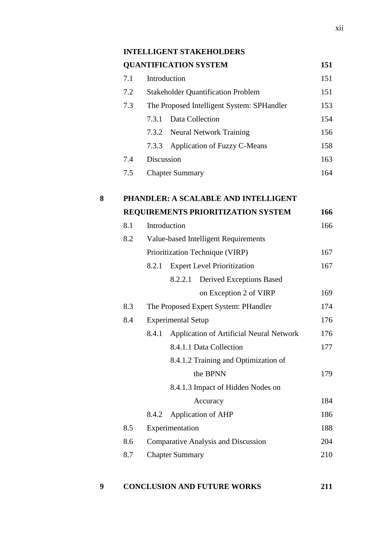|   |     | <b>QUANTIFICATION SYSTEM</b>                      | 151 |
|---|-----|---------------------------------------------------|-----|
|   | 7.1 | Introduction                                      | 151 |
|   | 7.2 | <b>Stakeholder Quantification Problem</b>         | 151 |
|   | 7.3 | The Proposed Intelligent System: SPHandler        | 153 |
|   |     | Data Collection<br>7.3.1                          | 154 |
|   |     | <b>Neural Network Training</b><br>7.3.2           | 156 |
|   |     | Application of Fuzzy C-Means<br>7.3.3             | 158 |
|   | 7.4 | Discussion                                        | 163 |
|   | 7.5 | <b>Chapter Summary</b>                            | 164 |
| 8 |     | PHANDLER: A SCALABLE AND INTELLIGENT              |     |
|   |     | REQUIREMENTS PRIORITIZATION SYSTEM                | 166 |
|   | 8.1 | Introduction                                      | 166 |
|   | 8.2 | Value-based Intelligent Requirements              |     |
|   |     | Prioritization Technique (VIRP)                   | 167 |
|   |     | <b>Expert Level Prioritization</b><br>8.2.1       | 167 |
|   |     | Derived Exceptions Based<br>8.2.2.1               |     |
|   |     | on Exception 2 of VIRP                            | 169 |
|   | 8.3 | The Proposed Expert System: PHandler              | 174 |
|   | 8.4 | <b>Experimental Setup</b>                         | 176 |
|   |     | Application of Artificial Neural Network<br>8.4.1 | 176 |
|   |     | 8.4.1.1 Data Collection                           | 177 |
|   |     | 8.4.1.2 Training and Optimization of              |     |
|   |     | the BPNN                                          | 179 |
|   |     | 8.4.1.3 Impact of Hidden Nodes on                 |     |
|   |     | Accuracy                                          | 184 |
|   |     | Application of AHP<br>8.4.2                       | 186 |
|   | 8.5 | Experimentation                                   | 188 |
|   | 8.6 | <b>Comparative Analysis and Discussion</b>        | 204 |
|   | 8.7 | <b>Chapter Summary</b>                            | 210 |

# **9 CONCLUSION AND FUTURE WORKS 211**